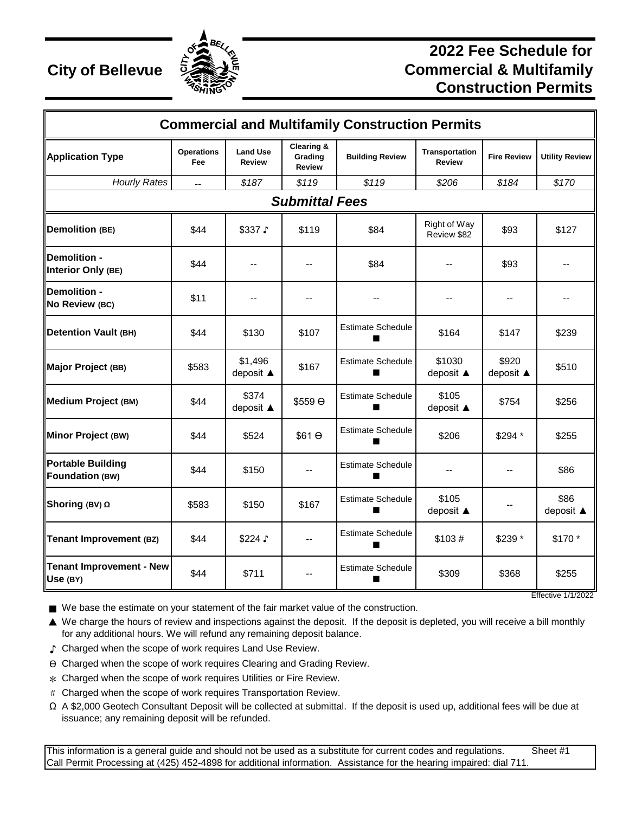

## **2022 Fee Schedule for City of Bellevue**  $\frac{5.38}{2}$  **Commercial & Multifamily Construction Permits**

| <b>Commercial and Multifamily Construction Permits</b> |                          |                                  |                                                   |                               |                                        |                          |                       |  |  |  |  |  |
|--------------------------------------------------------|--------------------------|----------------------------------|---------------------------------------------------|-------------------------------|----------------------------------------|--------------------------|-----------------------|--|--|--|--|--|
| <b>Application Type</b>                                | <b>Operations</b><br>Fee | <b>Land Use</b><br><b>Review</b> | <b>Clearing &amp;</b><br>Grading<br><b>Review</b> | <b>Building Review</b>        | <b>Transportation</b><br><b>Review</b> | <b>Fire Review</b>       | <b>Utility Review</b> |  |  |  |  |  |
| <b>Hourly Rates</b>                                    | Ξ.                       | \$187                            | \$119                                             | \$119                         | \$206                                  | \$184                    | \$170                 |  |  |  |  |  |
| <b>Submittal Fees</b>                                  |                          |                                  |                                                   |                               |                                        |                          |                       |  |  |  |  |  |
| <b>Demolition (BE)</b>                                 | \$44                     | \$337 \$                         | \$119                                             | \$84                          | Right of Way<br>Review \$82            | \$93                     | \$127                 |  |  |  |  |  |
| Demolition -<br>Interior Only (BE)                     | \$44                     | --                               |                                                   | \$84                          |                                        | \$93                     |                       |  |  |  |  |  |
| <b>IDemolition -</b><br>No Review (BC)                 | \$11                     | $-$                              |                                                   |                               |                                        | $\overline{\phantom{a}}$ |                       |  |  |  |  |  |
| <b>Detention Vault (BH)</b>                            | \$44                     | \$130                            | \$107                                             | <b>Estimate Schedule</b>      | \$164                                  | \$147                    | \$239                 |  |  |  |  |  |
| Major Project (BB)                                     | \$583                    | \$1,496<br>deposit ▲             | \$167                                             | <b>Estimate Schedule</b>      | \$1030<br>deposit ▲                    | \$920<br>deposit ▲       | \$510                 |  |  |  |  |  |
| Medium Project (BM)                                    | \$44                     | \$374<br>deposit ▲               | \$559 O                                           | <b>Estimate Schedule</b>      | \$105<br>deposit ▲                     | \$754                    | \$256                 |  |  |  |  |  |
| Minor Project (BW)                                     | \$44                     | \$524                            | $$61$ $\Theta$                                    | <b>Estimate Schedule</b>      | \$206                                  | \$294 *                  | \$255                 |  |  |  |  |  |
| <b>Portable Building</b><br>Foundation (BW)            | \$44                     | \$150                            |                                                   | <b>Estimate Schedule</b>      |                                        |                          | \$86                  |  |  |  |  |  |
| Shoring (BV) Ω                                         | \$583                    | \$150                            | \$167                                             | <b>Estimate Schedule</b>      | \$105<br>deposit ▲                     |                          | \$86<br>deposit ▲     |  |  |  |  |  |
| Tenant Improvement (BZ)                                | \$44                     | \$224 J                          | --                                                | <b>Estimate Schedule</b>      | \$103#                                 | \$239 *                  | \$170 *               |  |  |  |  |  |
| Tenant Improvement - New<br>Use (BY)                   | \$44                     | \$711                            |                                                   | <b>Estimate Schedule</b><br>٠ | \$309                                  | \$368                    | \$255                 |  |  |  |  |  |

■ We base the estimate on your statement of the fair market value of the construction.

▲ We charge the hours of review and inspections against the deposit. If the deposit is depleted, you will receive a bill monthly for any additional hours. We will refund any remaining deposit balance.

- ♪ Charged when the scope of work requires Land Use Review.
- ϴ Charged when the scope of work requires Clearing and Grading Review.
- $*$  Charged when the scope of work requires Utilities or Fire Review.
- # Charged when the scope of work requires Transportation Review.
- Ω A \$2,000 Geotech Consultant Deposit will be collected at submittal. If the deposit is used up, additional fees will be due at issuance; any remaining deposit will be refunded.

This information is a general guide and should not be used as a substitute for current codes and regulations. Sheet #1 Call Permit Processing at (425) 452-4898 for additional information. Assistance for the hearing impaired: dial 711.

Effective 1/1/2022